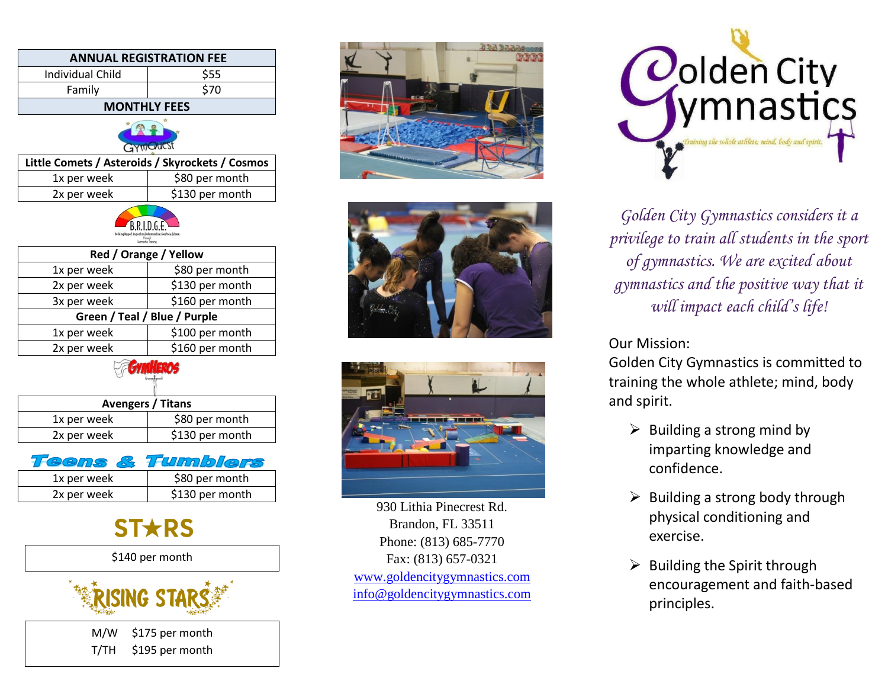| <b>ANNUAL REGISTRATION FEE</b>                                        |                 |
|-----------------------------------------------------------------------|-----------------|
| <b>Individual Child</b>                                               | \$55            |
| Family                                                                | \$70            |
| <b>MONTHLY FEES</b>                                                   |                 |
| GymQuest                                                              |                 |
| Little Comets / Asteroids / Skyrockets / Cosmos                       |                 |
| 1x per week                                                           | \$80 per month  |
| 2x per week                                                           | \$130 per month |
| <b>B.R.I.D.G.E.</b><br>Building Respect Invariation Defermination Gre |                 |
| Red / Orange / Yellow                                                 |                 |
| 1x per week                                                           | \$80 per month  |
| 2x per week                                                           | \$130 per month |
| 3x per week                                                           | \$160 per month |
| Green / Teal / Blue / Purple                                          |                 |
| 1x per week                                                           | \$100 per month |
| 2x per week                                                           | \$160 per month |
| ymHEROS                                                               |                 |
| <b>Avengers / Titans</b>                                              |                 |
| 1x per week                                                           | \$80 per month  |
| 2x per week                                                           | \$130 per month |
| Tumble<br>eens                                                        |                 |
| 1x per week                                                           | \$80 per month  |
| 2x per week                                                           | \$130 per month |
|                                                                       |                 |



\$140 per month



M/W \$175 per month T/TH \$195 per month







930 Lithia Pinecrest Rd. Brandon, FL 33511 Phone: (813) 685-7770 Fax: (813) 657-0321 [www.goldencitygymnastics.com](http://www.goldencitygymnastics.com/) [info@goldencitygymnastics.com](mailto:info@goldencitygymnastics.com)



*Golden City Gymnastics considers it a privilege to train all students in the sport of gymnastics. We are excited about gymnastics and the positive way that it will impact each child's life!*

Our Mission:

Golden City Gymnastics is committed to training the whole athlete; mind, body and spirit.

- $\triangleright$  Building a strong mind by imparting knowledge and confidence.
- $\triangleright$  Building a strong body through physical conditioning and exercise.
- $\triangleright$  Building the Spirit through encouragement and faith-based principles.